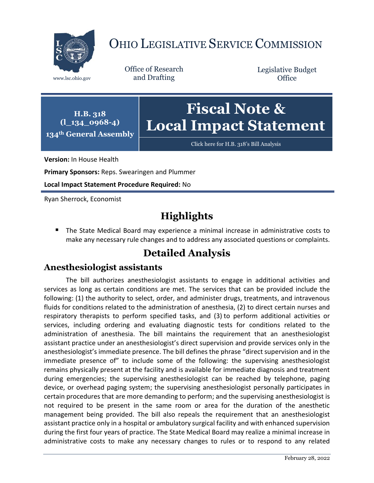

## OHIO LEGISLATIVE SERVICE COMMISSION

Office of Research www.lsc.ohio.gov and Drafting

Legislative Budget **Office** 

**H.B. 318 (l\_134\_0968-4) 134th General Assembly**

# **Fiscal Note & Local Impact Statement**

[Click here for H.B. 318](https://www.legislature.ohio.gov/legislation/legislation-documents?id=GA134-HB-318)'s Bill Analysis

**Version:** In House Health

**Primary Sponsors:** Reps. Swearingen and Plummer

**Local Impact Statement Procedure Required:** No

Ryan Sherrock, Economist

### **Highlights**

 The State Medical Board may experience a minimal increase in administrative costs to make any necessary rule changes and to address any associated questions or complaints.

### **Detailed Analysis**

#### **Anesthesiologist assistants**

The bill authorizes anesthesiologist assistants to engage in additional activities and services as long as certain conditions are met. The services that can be provided include the following: (1) the authority to select, order, and administer drugs, treatments, and intravenous fluids for conditions related to the administration of anesthesia, (2) to direct certain nurses and respiratory therapists to perform specified tasks, and (3) to perform additional activities or services, including ordering and evaluating diagnostic tests for conditions related to the administration of anesthesia. The bill maintains the requirement that an anesthesiologist assistant practice under an anesthesiologist's direct supervision and provide services only in the anesthesiologist's immediate presence. The bill defines the phrase "direct supervision and in the immediate presence of" to include some of the following: the supervising anesthesiologist remains physically present at the facility and is available for immediate diagnosis and treatment during emergencies; the supervising anesthesiologist can be reached by telephone, paging device, or overhead paging system; the supervising anesthesiologist personally participates in certain procedures that are more demanding to perform; and the supervising anesthesiologist is not required to be present in the same room or area for the duration of the anesthetic management being provided. The bill also repeals the requirement that an anesthesiologist assistant practice only in a hospital or ambulatory surgical facility and with enhanced supervision during the first four years of practice. The State Medical Board may realize a minimal increase in administrative costs to make any necessary changes to rules or to respond to any related